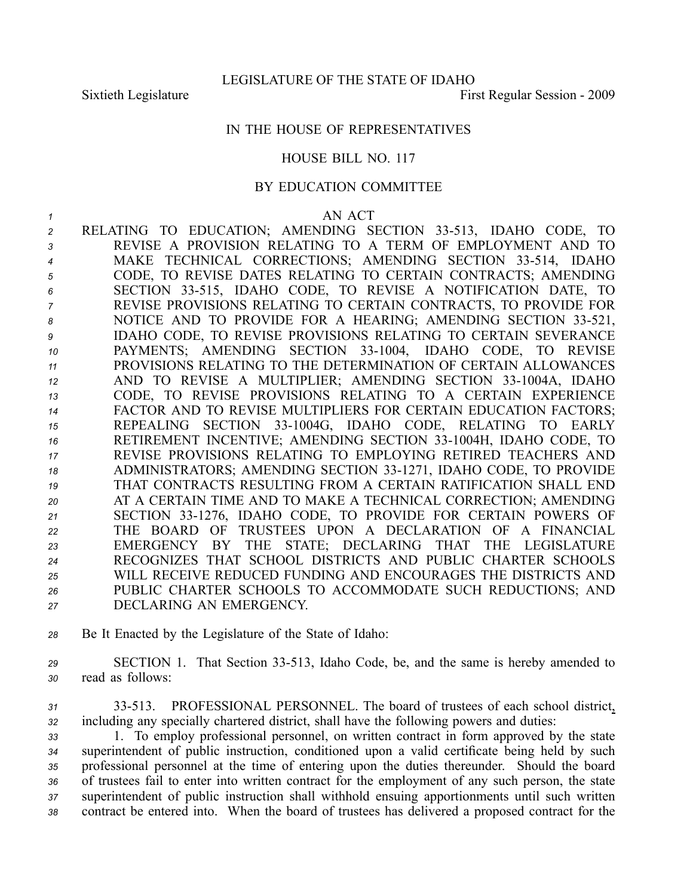## IN THE HOUSE OF REPRESENTATIVES

## HOUSE BILL NO. 117

## BY EDUCATION COMMITTEE

*1* AN ACT RELATING TO EDUCATION; AMENDING SECTION 33513, IDAHO CODE, TO REVISE A PROVISION RELATING TO A TERM OF EMPLOYMENT AND TO 4 MAKE TECHNICAL CORRECTIONS; AMENDING SECTION 33-514, IDAHO CODE, TO REVISE DATES RELATING TO CERTAIN CONTRACTS; AMENDING SECTION 33515, IDAHO CODE, TO REVISE A NOTIFICATION DATE, TO REVISE PROVISIONS RELATING TO CERTAIN CONTRACTS, TO PROVIDE FOR 8 NOTICE AND TO PROVIDE FOR A HEARING; AMENDING SECTION 33-521, IDAHO CODE, TO REVISE PROVISIONS RELATING TO CERTAIN SEVERANCE PAYMENTS; AMENDING SECTION 331004, IDAHO CODE, TO REVISE PROVISIONS RELATING TO THE DETERMINATION OF CERTAIN ALLOWANCES 12 AND TO REVISE A MULTIPLIER; AMENDING SECTION 33-1004A, IDAHO CODE, TO REVISE PROVISIONS RELATING TO A CERTAIN EXPERIENCE FACTOR AND TO REVISE MULTIPLIERS FOR CERTAIN EDUCATION FACTORS; 15 REPEALING SECTION 33-1004G, IDAHO CODE, RELATING TO EARLY 16 RETIREMENT INCENTIVE; AMENDING SECTION 33-1004H, IDAHO CODE, TO REVISE PROVISIONS RELATING TO EMPLOYING RETIRED TEACHERS AND ADMINISTRATORS; AMENDING SECTION 331271, IDAHO CODE, TO PROVIDE THAT CONTRACTS RESULTING FROM A CERTAIN RATIFICATION SHALL END AT A CERTAIN TIME AND TO MAKE A TECHNICAL CORRECTION; AMENDING SECTION 331276, IDAHO CODE, TO PROVIDE FOR CERTAIN POWERS OF THE BOARD OF TRUSTEES UPON A DECLARATION OF A FINANCIAL EMERGENCY BY THE STATE; DECLARING THAT THE LEGISLATURE RECOGNIZES THAT SCHOOL DISTRICTS AND PUBLIC CHARTER SCHOOLS WILL RECEIVE REDUCED FUNDING AND ENCOURAGES THE DISTRICTS AND PUBLIC CHARTER SCHOOLS TO ACCOMMODATE SUCH REDUCTIONS; AND DECLARING AN EMERGENCY.

- *<sup>28</sup>* Be It Enacted by the Legislature of the State of Idaho:
- *<sup>29</sup>* SECTION 1. That Section 33513, Idaho Code, be, and the same is hereby amended to *<sup>30</sup>* read as follows:
- *<sup>31</sup>* 33513. PROFESSIONAL PERSONNEL. The board of trustees of each school district, *<sup>32</sup>* including any specially chartered district, shall have the following powers and duties:

 1. To employ professional personnel, on written contract in form approved by the state superintendent of public instruction, conditioned upon <sup>a</sup> valid certificate being held by such professional personnel at the time of entering upon the duties thereunder. Should the board of trustees fail to enter into written contract for the employment of any such person, the state superintendent of public instruction shall withhold ensuing apportionments until such written contract be entered into. When the board of trustees has delivered <sup>a</sup> proposed contract for the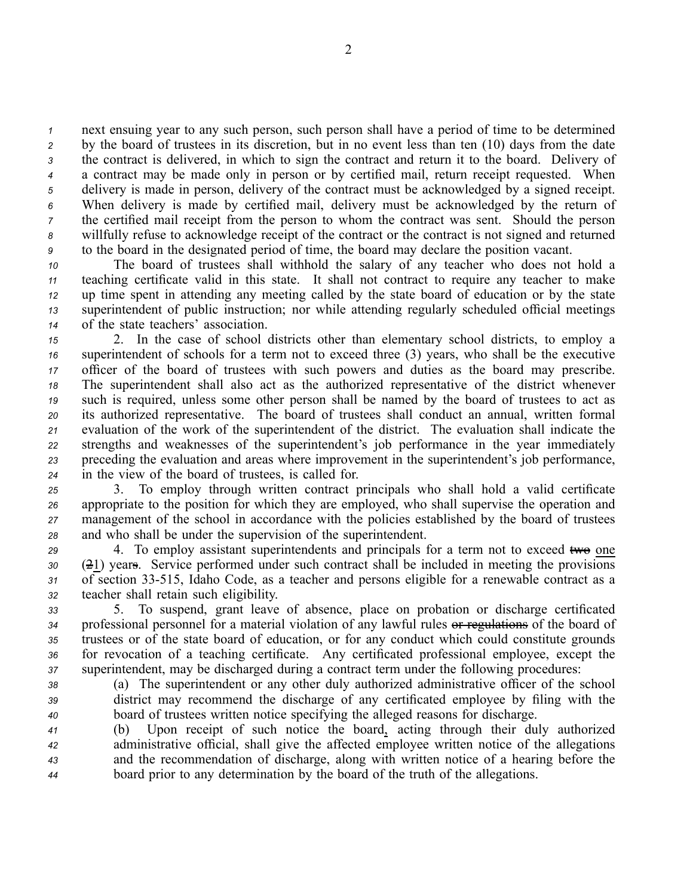next ensuing year to any such person, such person shall have <sup>a</sup> period of time to be determined by the board of trustees in its discretion, but in no event less than ten (10) days from the date the contract is delivered, in which to sign the contract and return it to the board. Delivery of <sup>a</sup> contract may be made only in person or by certified mail, return receipt requested. When delivery is made in person, delivery of the contract must be acknowledged by <sup>a</sup> signed receipt. When delivery is made by certified mail, delivery must be acknowledged by the return of the certified mail receipt from the person to whom the contract was sent. Should the person willfully refuse to acknowledge receipt of the contract or the contract is not signed and returned to the board in the designated period of time, the board may declare the position vacant.

 The board of trustees shall withhold the salary of any teacher who does not hold <sup>a</sup> teaching certificate valid in this state. It shall not contract to require any teacher to make up time spen<sup>t</sup> in attending any meeting called by the state board of education or by the state superintendent of public instruction; nor while attending regularly scheduled official meetings of the state teachers' association.

 2. In the case of school districts other than elementary school districts, to employ <sup>a</sup> superintendent of schools for <sup>a</sup> term not to exceed three (3) years, who shall be the executive officer of the board of trustees with such powers and duties as the board may prescribe. The superintendent shall also act as the authorized representative of the district whenever such is required, unless some other person shall be named by the board of trustees to act as its authorized representative. The board of trustees shall conduct an annual, written formal evaluation of the work of the superintendent of the district. The evaluation shall indicate the strengths and weaknesses of the superintendent's job performance in the year immediately preceding the evaluation and areas where improvement in the superintendent's job performance, in the view of the board of trustees, is called for.

 3. To employ through written contract principals who shall hold <sup>a</sup> valid certificate appropriate to the position for which they are employed, who shall supervise the operation and managemen<sup>t</sup> of the school in accordance with the policies established by the board of trustees and who shall be under the supervision of the superintendent.

29 4. To employ assistant superintendents and principals for a term not to exceed two one (21) years. Service performed under such contract shall be included in meeting the provisions of section 33515, Idaho Code, as <sup>a</sup> teacher and persons eligible for <sup>a</sup> renewable contract as <sup>a</sup> teacher shall retain such eligibility.

 5. To suspend, gran<sup>t</sup> leave of absence, place on probation or discharge certificated professional personnel for <sup>a</sup> material violation of any lawful rules or regulations of the board of trustees or of the state board of education, or for any conduct which could constitute grounds for revocation of <sup>a</sup> teaching certificate. Any certificated professional employee, excep<sup>t</sup> the superintendent, may be discharged during <sup>a</sup> contract term under the following procedures:

*<sup>38</sup>* (a) The superintendent or any other duly authorized administrative officer of the school *<sup>39</sup>* district may recommend the discharge of any certificated employee by filing with the *<sup>40</sup>* board of trustees written notice specifying the alleged reasons for discharge.

 (b) Upon receipt of such notice the board, acting through their duly authorized administrative official, shall give the affected employee written notice of the allegations and the recommendation of discharge, along with written notice of <sup>a</sup> hearing before the board prior to any determination by the board of the truth of the allegations.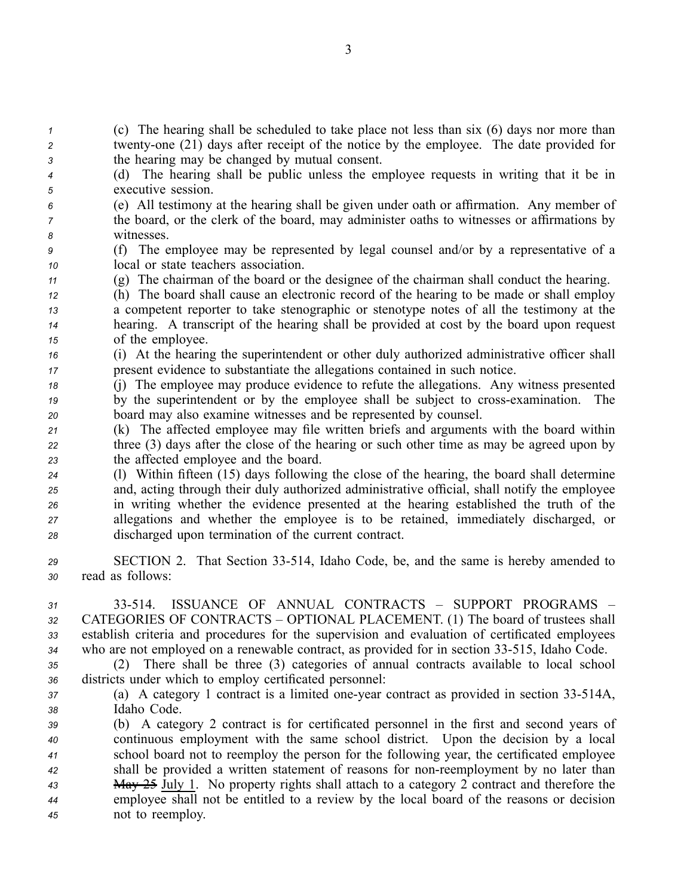*<sup>1</sup>* (c) The hearing shall be scheduled to take place not less than six (6) days nor more than *<sup>2</sup>* twentyone (21) days after receipt of the notice by the employee. The date provided for *<sup>3</sup>* the hearing may be changed by mutual consent.

- *<sup>4</sup>* (d) The hearing shall be public unless the employee requests in writing that it be in *<sup>5</sup>* executive session.
- *<sup>6</sup>* (e) All testimony at the hearing shall be given under oath or affirmation. Any member of *<sup>7</sup>* the board, or the clerk of the board, may administer oaths to witnesses or affirmations by *<sup>8</sup>* witnesses.
- *<sup>9</sup>* (f) The employee may be represented by legal counsel and/or by <sup>a</sup> representative of <sup>a</sup> *<sup>10</sup>* local or state teachers association.
- *<sup>11</sup>* (g) The chairman of the board or the designee of the chairman shall conduct the hearing.
- *<sup>12</sup>* (h) The board shall cause an electronic record of the hearing to be made or shall employ *<sup>13</sup>* <sup>a</sup> competent reporter to take stenographic or stenotype notes of all the testimony at the *<sup>14</sup>* hearing. A transcript of the hearing shall be provided at cost by the board upon reques<sup>t</sup> *<sup>15</sup>* of the employee.
- *<sup>16</sup>* (i) At the hearing the superintendent or other duly authorized administrative officer shall *<sup>17</sup>* presen<sup>t</sup> evidence to substantiate the allegations contained in such notice.
- *<sup>18</sup>* (j) The employee may produce evidence to refute the allegations. Any witness presented *<sup>19</sup>* by the superintendent or by the employee shall be subject to crossexamination. The *<sup>20</sup>* board may also examine witnesses and be represented by counsel.
- *<sup>21</sup>* (k) The affected employee may file written briefs and arguments with the board within *<sup>22</sup>* three (3) days after the close of the hearing or such other time as may be agreed upon by *<sup>23</sup>* the affected employee and the board.
- *<sup>24</sup>* (l) Within fifteen (15) days following the close of the hearing, the board shall determine *<sup>25</sup>* and, acting through their duly authorized administrative official, shall notify the employee *<sup>26</sup>* in writing whether the evidence presented at the hearing established the truth of the *<sup>27</sup>* allegations and whether the employee is to be retained, immediately discharged, or *<sup>28</sup>* discharged upon termination of the current contract.
- *<sup>29</sup>* SECTION 2. That Section 33514, Idaho Code, be, and the same is hereby amended to *<sup>30</sup>* read as follows:
- *31* 33514. ISSUANCE OF ANNUAL CONTRACTS SUPPORT PROGRAMS *<sup>32</sup>* CATEGORIES OF CONTRACTS – OPTIONAL PLACEMENT. (1) The board of trustees shall *<sup>33</sup>* establish criteria and procedures for the supervision and evaluation of certificated employees *<sup>34</sup>* who are not employed on <sup>a</sup> renewable contract, as provided for in section 33515, Idaho Code.
- *<sup>35</sup>* (2) There shall be three (3) categories of annual contracts available to local school *<sup>36</sup>* districts under which to employ certificated personnel:
- *37* (a) A category 1 contract is a limited one-year contract as provided in section 33-514A, *<sup>38</sup>* Idaho Code.
- *<sup>39</sup>* (b) A category 2 contract is for certificated personnel in the first and second years of *<sup>40</sup>* continuous employment with the same school district. Upon the decision by <sup>a</sup> local *<sup>41</sup>* school board not to reemploy the person for the following year, the certificated employee *<sup>42</sup>* shall be provided <sup>a</sup> written statement of reasons for nonreemployment by no later than *<sup>43</sup>* May 25 July 1. No property rights shall attach to <sup>a</sup> category 2 contract and therefore the *<sup>44</sup>* employee shall not be entitled to <sup>a</sup> review by the local board of the reasons or decision *<sup>45</sup>* not to reemploy.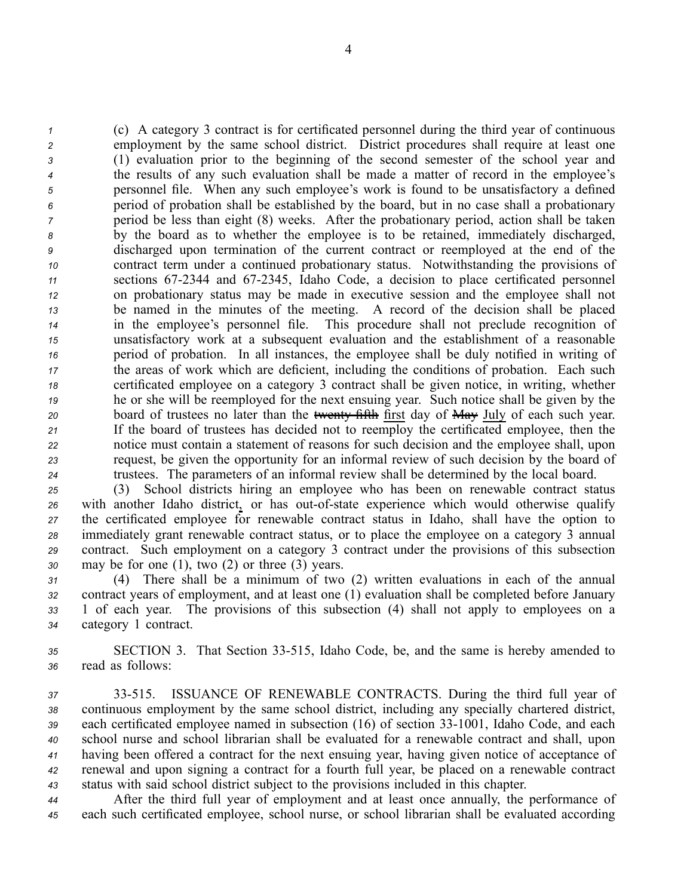(c) A category 3 contract is for certificated personnel during the third year of continuous employment by the same school district. District procedures shall require at least one (1) evaluation prior to the beginning of the second semester of the school year and the results of any such evaluation shall be made <sup>a</sup> matter of record in the employee's personnel file. When any such employee's work is found to be unsatisfactory <sup>a</sup> defined period of probation shall be established by the board, but in no case shall <sup>a</sup> probationary period be less than eight (8) weeks. After the probationary period, action shall be taken by the board as to whether the employee is to be retained, immediately discharged, discharged upon termination of the current contract or reemployed at the end of the contract term under <sup>a</sup> continued probationary status. Notwithstanding the provisions of sections 672344 and 672345, Idaho Code, <sup>a</sup> decision to place certificated personnel on probationary status may be made in executive session and the employee shall not be named in the minutes of the meeting. A record of the decision shall be placed in the employee's personnel file. This procedure shall not preclude recognition of unsatisfactory work at <sup>a</sup> subsequent evaluation and the establishment of <sup>a</sup> reasonable period of probation. In all instances, the employee shall be duly notified in writing of the areas of work which are deficient, including the conditions of probation. Each such certificated employee on <sup>a</sup> category 3 contract shall be given notice, in writing, whether he or she will be reemployed for the next ensuing year. Such notice shall be given by the 20 board of trustees no later than the twenty fifth first day of May July of each such year. If the board of trustees has decided not to reemploy the certificated employee, then the notice must contain <sup>a</sup> statement of reasons for such decision and the employee shall, upon request, be given the opportunity for an informal review of such decision by the board of trustees. The parameters of an informal review shall be determined by the local board.

 (3) School districts hiring an employee who has been on renewable contract status 26 with another Idaho district, or has out-of-state experience which would otherwise qualify the certificated employee for renewable contract status in Idaho, shall have the option to immediately gran<sup>t</sup> renewable contract status, or to place the employee on <sup>a</sup> category 3 annual contract. Such employment on <sup>a</sup> category 3 contract under the provisions of this subsection may be for one (1), two (2) or three (3) years.

 (4) There shall be <sup>a</sup> minimum of two (2) written evaluations in each of the annual contract years of employment, and at least one (1) evaluation shall be completed before January 1 of each year. The provisions of this subsection (4) shall not apply to employees on <sup>a</sup> category 1 contract.

*<sup>35</sup>* SECTION 3. That Section 33515, Idaho Code, be, and the same is hereby amended to *<sup>36</sup>* read as follows:

 33515. ISSUANCE OF RENEWABLE CONTRACTS. During the third full year of continuous employment by the same school district, including any specially chartered district, 39 each certificated employee named in subsection (16) of section 33-1001, Idaho Code, and each school nurse and school librarian shall be evaluated for <sup>a</sup> renewable contract and shall, upon having been offered <sup>a</sup> contract for the next ensuing year, having given notice of acceptance of renewal and upon signing <sup>a</sup> contract for <sup>a</sup> fourth full year, be placed on <sup>a</sup> renewable contract status with said school district subject to the provisions included in this chapter.

*<sup>44</sup>* After the third full year of employment and at least once annually, the performance of *<sup>45</sup>* each such certificated employee, school nurse, or school librarian shall be evaluated according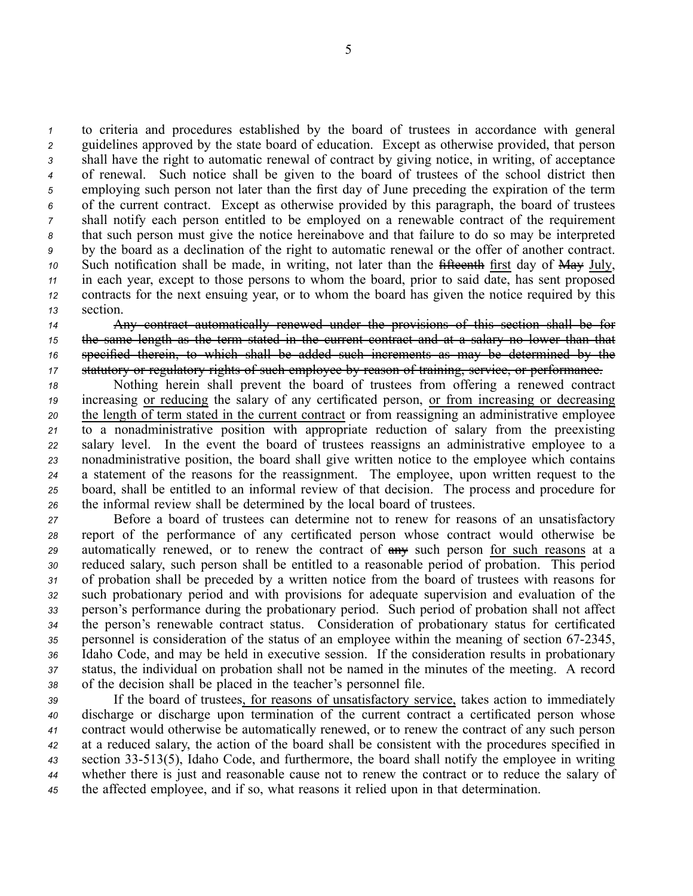to criteria and procedures established by the board of trustees in accordance with general guidelines approved by the state board of education. Except as otherwise provided, that person shall have the right to automatic renewal of contract by giving notice, in writing, of acceptance of renewal. Such notice shall be given to the board of trustees of the school district then employing such person not later than the first day of June preceding the expiration of the term of the current contract. Except as otherwise provided by this paragraph, the board of trustees shall notify each person entitled to be employed on <sup>a</sup> renewable contract of the requirement that such person must give the notice hereinabove and that failure to do so may be interpreted by the board as <sup>a</sup> declination of the right to automatic renewal or the offer of another contract. Such notification shall be made, in writing, not later than the fifteenth first day of May July, in each year, excep<sup>t</sup> to those persons to whom the board, prior to said date, has sent proposed contracts for the next ensuing year, or to whom the board has given the notice required by this *<sup>13</sup>* section.

 Any contract automatically renewed under the provisions of this section shall be for the same length as the term stated in the current contract and at <sup>a</sup> salary no lower than that specified therein, to which shall be added such increments as may be determined by the statutory or regulatory rights of such employee by reason of training, service, or performance.

 Nothing herein shall preven<sup>t</sup> the board of trustees from offering <sup>a</sup> renewed contract increasing or reducing the salary of any certificated person, or from increasing or decreasing the length of term stated in the current contract or from reassigning an administrative employee to <sup>a</sup> nonadministrative position with appropriate reduction of salary from the preexisting salary level. In the event the board of trustees reassigns an administrative employee to <sup>a</sup> nonadministrative position, the board shall give written notice to the employee which contains <sup>a</sup> statement of the reasons for the reassignment. The employee, upon written reques<sup>t</sup> to the board, shall be entitled to an informal review of that decision. The process and procedure for the informal review shall be determined by the local board of trustees.

 Before <sup>a</sup> board of trustees can determine not to renew for reasons of an unsatisfactory repor<sup>t</sup> of the performance of any certificated person whose contract would otherwise be automatically renewed, or to renew the contract of any such person for such reasons at <sup>a</sup> reduced salary, such person shall be entitled to <sup>a</sup> reasonable period of probation. This period of probation shall be preceded by <sup>a</sup> written notice from the board of trustees with reasons for such probationary period and with provisions for adequate supervision and evaluation of the person's performance during the probationary period. Such period of probation shall not affect the person's renewable contract status. Consideration of probationary status for certificated 35 personnel is consideration of the status of an employee within the meaning of section 67-2345, Idaho Code, and may be held in executive session. If the consideration results in probationary status, the individual on probation shall not be named in the minutes of the meeting. A record of the decision shall be placed in the teacher's personnel file.

 If the board of trustees, for reasons of unsatisfactory service, takes action to immediately discharge or discharge upon termination of the current contract <sup>a</sup> certificated person whose contract would otherwise be automatically renewed, or to renew the contract of any such person at <sup>a</sup> reduced salary, the action of the board shall be consistent with the procedures specified in section 33513(5), Idaho Code, and furthermore, the board shall notify the employee in writing whether there is just and reasonable cause not to renew the contract or to reduce the salary of the affected employee, and if so, what reasons it relied upon in that determination.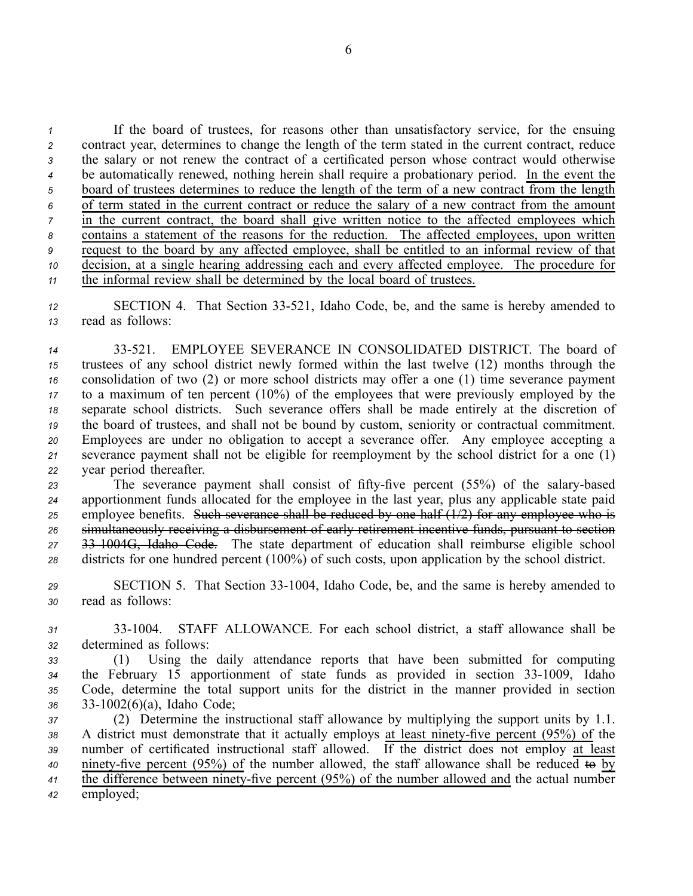If the board of trustees, for reasons other than unsatisfactory service, for the ensuing contract year, determines to change the length of the term stated in the current contract, reduce the salary or not renew the contract of <sup>a</sup> certificated person whose contract would otherwise be automatically renewed, nothing herein shall require <sup>a</sup> probationary period. In the event the board of trustees determines to reduce the length of the term of <sup>a</sup> new contract from the length of term stated in the current contract or reduce the salary of <sup>a</sup> new contract from the amount in the current contract, the board shall give written notice to the affected employees which contains <sup>a</sup> statement of the reasons for the reduction. The affected employees, upon written reques<sup>t</sup> to the board by any affected employee, shall be entitled to an informal review of that decision, at <sup>a</sup> single hearing addressing each and every affected employee. The procedure for the informal review shall be determined by the local board of trustees.

12 SECTION 4. That Section 33-521, Idaho Code, be, and the same is hereby amended to *<sup>13</sup>* read as follows:

 33521. EMPLOYEE SEVERANCE IN CONSOLIDATED DISTRICT. The board of trustees of any school district newly formed within the last twelve (12) months through the consolidation of two (2) or more school districts may offer <sup>a</sup> one (1) time severance paymen<sup>t</sup> to <sup>a</sup> maximum of ten percen<sup>t</sup> (10%) of the employees that were previously employed by the separate school districts. Such severance offers shall be made entirely at the discretion of the board of trustees, and shall not be bound by custom, seniority or contractual commitment. Employees are under no obligation to accep<sup>t</sup> <sup>a</sup> severance offer. Any employee accepting <sup>a</sup> severance paymen<sup>t</sup> shall not be eligible for reemployment by the school district for <sup>a</sup> one (1) year period thereafter.

23 The severance payment shall consist of fifty-five percent (55%) of the salary-based apportionment funds allocated for the employee in the last year, plus any applicable state paid employee benefits. Such severance shall be reduced by one half  $(1/2)$  for any employee who is simultaneously receiving <sup>a</sup> disbursement of early retirement incentive funds, pursuan<sup>t</sup> to section 331004G, Idaho Code. The state department of education shall reimburse eligible school districts for one hundred percen<sup>t</sup> (100%) of such costs, upon application by the school district.

- *<sup>29</sup>* SECTION 5. That Section 331004, Idaho Code, be, and the same is hereby amended to *<sup>30</sup>* read as follows:
- *<sup>31</sup>* 331004. STAFF ALLOWANCE. For each school district, <sup>a</sup> staff allowance shall be *<sup>32</sup>* determined as follows:
- *<sup>33</sup>* (1) Using the daily attendance reports that have been submitted for computing 34 the February 15 apportionment of state funds as provided in section 33-1009, Idaho *<sup>35</sup>* Code, determine the total suppor<sup>t</sup> units for the district in the manner provided in section *<sup>36</sup>* 331002(6)(a), Idaho Code;

 (2) Determine the instructional staff allowance by multiplying the suppor<sup>t</sup> units by 1.1. 38 A district must demonstrate that it actually employs at least ninety-five percent (95%) of the number of certificated instructional staff allowed. If the district does not employ at least ninety-five percent (95%) of the number allowed, the staff allowance shall be reduced to by the difference between ninety-five percent (95%) of the number allowed and the actual number *<sup>42</sup>* employed;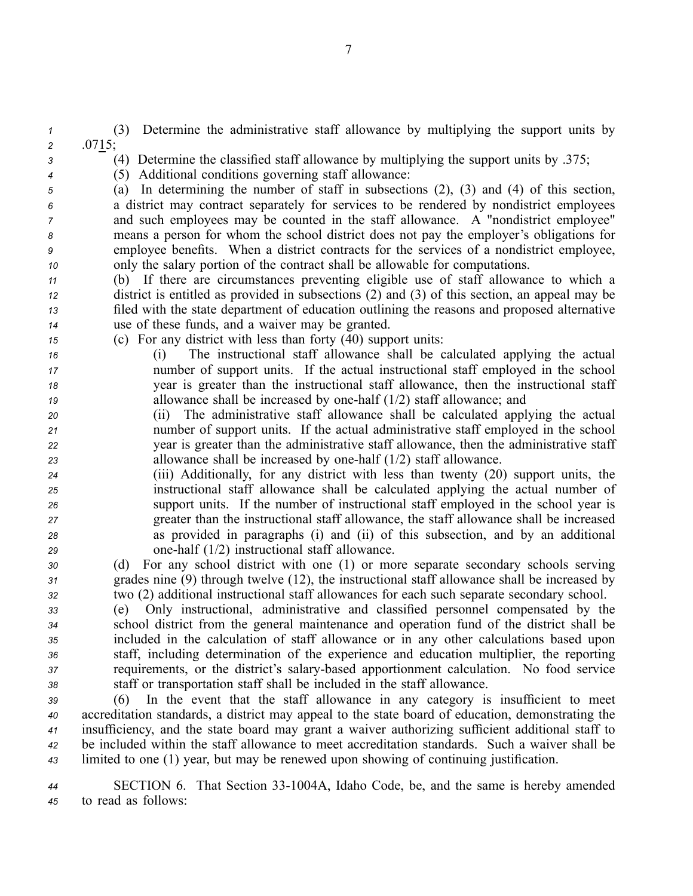*<sup>1</sup>* (3) Determine the administrative staff allowance by multiplying the suppor<sup>t</sup> units by *<sup>2</sup>* .0715;

*<sup>3</sup>* (4) Determine the classified staff allowance by multiplying the suppor<sup>t</sup> units by .375;

*<sup>4</sup>* (5) Additional conditions governing staff allowance:

 (a) In determining the number of staff in subsections (2), (3) and (4) of this section, <sup>a</sup> district may contract separately for services to be rendered by nondistrict employees and such employees may be counted in the staff allowance. A "nondistrict employee" means <sup>a</sup> person for whom the school district does not pay the employer's obligations for employee benefits. When <sup>a</sup> district contracts for the services of <sup>a</sup> nondistrict employee, only the salary portion of the contract shall be allowable for computations.

 (b) If there are circumstances preventing eligible use of staff allowance to which <sup>a</sup> district is entitled as provided in subsections (2) and (3) of this section, an appeal may be filed with the state department of education outlining the reasons and proposed alternative use of these funds, and <sup>a</sup> waiver may be granted.

*<sup>15</sup>* (c) For any district with less than forty (40) suppor<sup>t</sup> units:

 (i) The instructional staff allowance shall be calculated applying the actual number of suppor<sup>t</sup> units. If the actual instructional staff employed in the school year is greater than the instructional staff allowance, then the instructional staff allowance shall be increased by onehalf (1/2) staff allowance; and

 (ii) The administrative staff allowance shall be calculated applying the actual number of suppor<sup>t</sup> units. If the actual administrative staff employed in the school year is greater than the administrative staff allowance, then the administrative staff allowance shall be increased by onehalf (1/2) staff allowance.

 (iii) Additionally, for any district with less than twenty (20) suppor<sup>t</sup> units, the instructional staff allowance shall be calculated applying the actual number of suppor<sup>t</sup> units. If the number of instructional staff employed in the school year is greater than the instructional staff allowance, the staff allowance shall be increased as provided in paragraphs (i) and (ii) of this subsection, and by an additional onehalf (1/2) instructional staff allowance.

*<sup>30</sup>* (d) For any school district with one (1) or more separate secondary schools serving *<sup>31</sup>* grades nine (9) through twelve (12), the instructional staff allowance shall be increased by *<sup>32</sup>* two (2) additional instructional staff allowances for each such separate secondary school.

 (e) Only instructional, administrative and classified personnel compensated by the school district from the general maintenance and operation fund of the district shall be included in the calculation of staff allowance or in any other calculations based upon staff, including determination of the experience and education multiplier, the reporting requirements, or the district's salarybased apportionment calculation. No food service staff or transportation staff shall be included in the staff allowance.

 (6) In the event that the staff allowance in any category is insufficient to meet accreditation standards, <sup>a</sup> district may appeal to the state board of education, demonstrating the insufficiency, and the state board may gran<sup>t</sup> <sup>a</sup> waiver authorizing sufficient additional staff to be included within the staff allowance to meet accreditation standards. Such <sup>a</sup> waiver shall be limited to one (1) year, but may be renewed upon showing of continuing justification.

*<sup>44</sup>* SECTION 6. That Section 331004A, Idaho Code, be, and the same is hereby amended *<sup>45</sup>* to read as follows:

7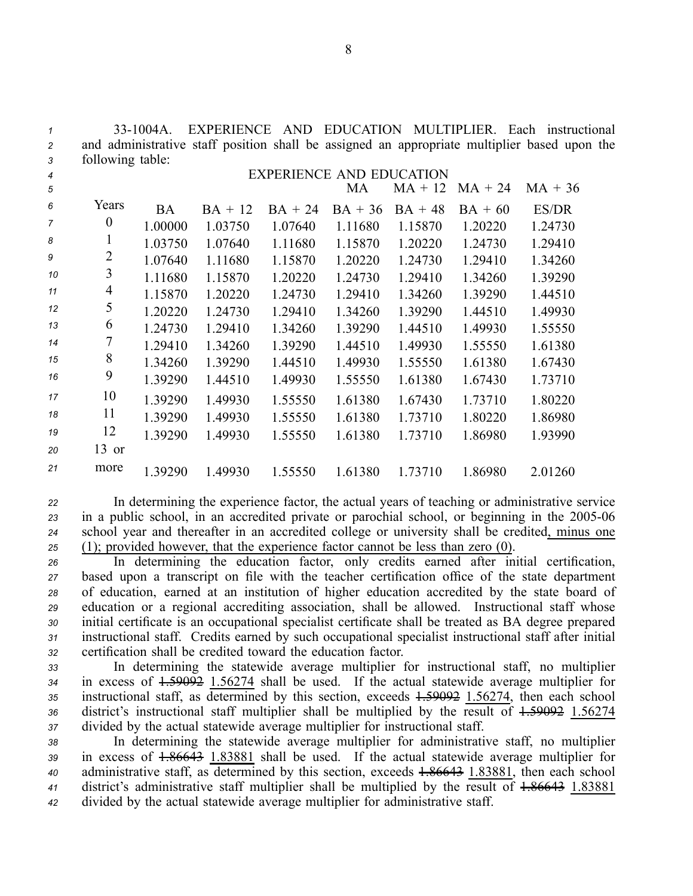| $\overline{c}$ |                  |           |           |                                 |           |           |           | and administrative staff position shall be assigned an appropriate multiplier based upon the |  |
|----------------|------------------|-----------|-----------|---------------------------------|-----------|-----------|-----------|----------------------------------------------------------------------------------------------|--|
| 3              | following table: |           |           |                                 |           |           |           |                                                                                              |  |
| 4              |                  |           |           | <b>EXPERIENCE AND EDUCATION</b> |           |           |           |                                                                                              |  |
| 5              |                  |           |           |                                 | MA        | $MA + 12$ | $MA + 24$ | $MA + 36$                                                                                    |  |
| 6              | Years            | <b>BA</b> | $BA + 12$ | $BA + 24$                       | $BA + 36$ | $BA + 48$ | $BA + 60$ | ES/DR                                                                                        |  |
| $\overline{7}$ | $\boldsymbol{0}$ | 1.00000   | 1.03750   | 1.07640                         | 1.11680   | 1.15870   | 1.20220   | 1.24730                                                                                      |  |
| 8              | $\mathbf{1}$     | 1.03750   | 1.07640   | 1.11680                         | 1.15870   | 1.20220   | 1.24730   | 1.29410                                                                                      |  |
| 9              | $\overline{c}$   | 1.07640   | 1.11680   | 1.15870                         | 1.20220   | 1.24730   | 1.29410   | 1.34260                                                                                      |  |
| 10             | 3                | 1.11680   | 1.15870   | 1.20220                         | 1.24730   | 1.29410   | 1.34260   | 1.39290                                                                                      |  |
| 11             | 4                | 1.15870   | 1.20220   | 1.24730                         | 1.29410   | 1.34260   | 1.39290   | 1.44510                                                                                      |  |
| 12             | 5                | 1.20220   | 1.24730   | 1.29410                         | 1.34260   | 1.39290   | 1.44510   | 1.49930                                                                                      |  |
| 13             | 6                | 1.24730   | 1.29410   | 1.34260                         | 1.39290   | 1.44510   | 1.49930   | 1.55550                                                                                      |  |
| 14             | 7                | 1.29410   | 1.34260   | 1.39290                         | 1.44510   | 1.49930   | 1.55550   | 1.61380                                                                                      |  |
| 15             | 8                | 1.34260   | 1.39290   | 1.44510                         | 1.49930   | 1.55550   | 1.61380   | 1.67430                                                                                      |  |
| 16             | 9                | 1.39290   | 1.44510   | 1.49930                         | 1.55550   | 1.61380   | 1.67430   | 1.73710                                                                                      |  |
| 17             | 10               | 1.39290   | 1.49930   | 1.55550                         | 1.61380   | 1.67430   | 1.73710   | 1.80220                                                                                      |  |
| 18             | 11               | 1.39290   | 1.49930   | 1.55550                         | 1.61380   | 1.73710   | 1.80220   | 1.86980                                                                                      |  |
| 19             | 12               | 1.39290   | 1.49930   | 1.55550                         | 1.61380   | 1.73710   | 1.86980   | 1.93990                                                                                      |  |
| 20             | $13$ or          |           |           |                                 |           |           |           |                                                                                              |  |
| 21             | more             | 1.39290   | 1.49930   | 1.55550                         | 1.61380   | 1.73710   | 1.86980   | 2.01260                                                                                      |  |

 In determining the experience factor, the actual years of teaching or administrative service in a public school, in an accredited private or parochial school, or beginning in the 2005-06 school year and thereafter in an accredited college or university shall be credited, minus one (1); provided however, that the experience factor cannot be less than zero (0).

 In determining the education factor, only credits earned after initial certification, based upon <sup>a</sup> transcript on file with the teacher certification office of the state department of education, earned at an institution of higher education accredited by the state board of education or <sup>a</sup> regional accrediting association, shall be allowed. Instructional staff whose initial certificate is an occupational specialist certificate shall be treated as BA degree prepared instructional staff. Credits earned by such occupational specialist instructional staff after initial certification shall be credited toward the education factor.

 In determining the statewide average multiplier for instructional staff, no multiplier in excess of 1.59092 1.56274 shall be used. If the actual statewide average multiplier for 35 instructional staff, as determined by this section, exceeds  $\frac{1.59092}{1.56274}$ , then each school district's instructional staff multiplier shall be multiplied by the result of 1.59092 1.56274 divided by the actual statewide average multiplier for instructional staff.

 In determining the statewide average multiplier for administrative staff, no multiplier in excess of 1.86643 1.83881 shall be used. If the actual statewide average multiplier for administrative staff, as determined by this section, exceeds 1.86643 1.83881, then each school district's administrative staff multiplier shall be multiplied by the result of 1.86643 1.83881 divided by the actual statewide average multiplier for administrative staff.

*<sup>1</sup>* 331004A. EXPERIENCE AND EDUCATION MULTIPLIER. Each instructional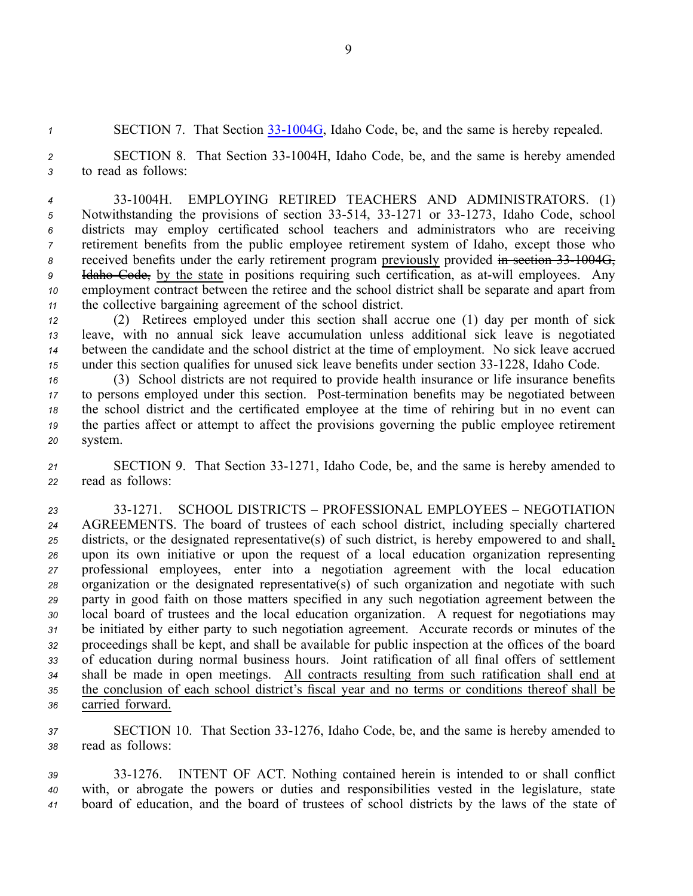1 SECTION 7. That Section 33-1004G, Idaho Code, be, and the same is hereby repealed.

*<sup>2</sup>* SECTION 8. That Section 331004H, Idaho Code, be, and the same is hereby amended *<sup>3</sup>* to read as follows:

 331004H. EMPLOYING RETIRED TEACHERS AND ADMINISTRATORS. (1) 5 Notwithstanding the provisions of section 33-514, 33-1271 or 33-1273, Idaho Code, school districts may employ certificated school teachers and administrators who are receiving retirement benefits from the public employee retirement system of Idaho, excep<sup>t</sup> those who 8 received benefits under the early retirement program previously provided in section 33 1004G, <sup>9</sup> Idaho Code, by the state in positions requiring such certification, as at-will employees. Any employment contract between the retiree and the school district shall be separate and apar<sup>t</sup> from the collective bargaining agreemen<sup>t</sup> of the school district.

 (2) Retirees employed under this section shall accrue one (1) day per month of sick leave, with no annual sick leave accumulation unless additional sick leave is negotiated between the candidate and the school district at the time of employment. No sick leave accrued under this section qualifies for unused sick leave benefits under section 33-1228, Idaho Code.

 (3) School districts are not required to provide health insurance or life insurance benefits to persons employed under this section. Post-termination benefits may be negotiated between the school district and the certificated employee at the time of rehiring but in no event can the parties affect or attempt to affect the provisions governing the public employee retirement *<sup>20</sup>* system.

21 SECTION 9. That Section 33-1271, Idaho Code, be, and the same is hereby amended to *<sup>22</sup>* read as follows:

 331271. SCHOOL DISTRICTS – PROFESSIONAL EMPLOYEES – NEGOTIATION AGREEMENTS. The board of trustees of each school district, including specially chartered districts, or the designated representative(s) of such district, is hereby empowered to and shall, upon its own initiative or upon the reques<sup>t</sup> of <sup>a</sup> local education organization representing professional employees, enter into <sup>a</sup> negotiation agreemen<sup>t</sup> with the local education organization or the designated representative(s) of such organization and negotiate with such party in good faith on those matters specified in any such negotiation agreemen<sup>t</sup> between the local board of trustees and the local education organization. A reques<sup>t</sup> for negotiations may be initiated by either party to such negotiation agreement. Accurate records or minutes of the proceedings shall be kept, and shall be available for public inspection at the offices of the board of education during normal business hours. Joint ratification of all final offers of settlement shall be made in open meetings. All contracts resulting from such ratification shall end at the conclusion of each school district's fiscal year and no terms or conditions thereof shall be carried forward.

*<sup>37</sup>* SECTION 10. That Section 331276, Idaho Code, be, and the same is hereby amended to *<sup>38</sup>* read as follows:

*<sup>39</sup>* 331276. INTENT OF ACT. Nothing contained herein is intended to or shall conflict *<sup>40</sup>* with, or abrogate the powers or duties and responsibilities vested in the legislature, state *<sup>41</sup>* board of education, and the board of trustees of school districts by the laws of the state of